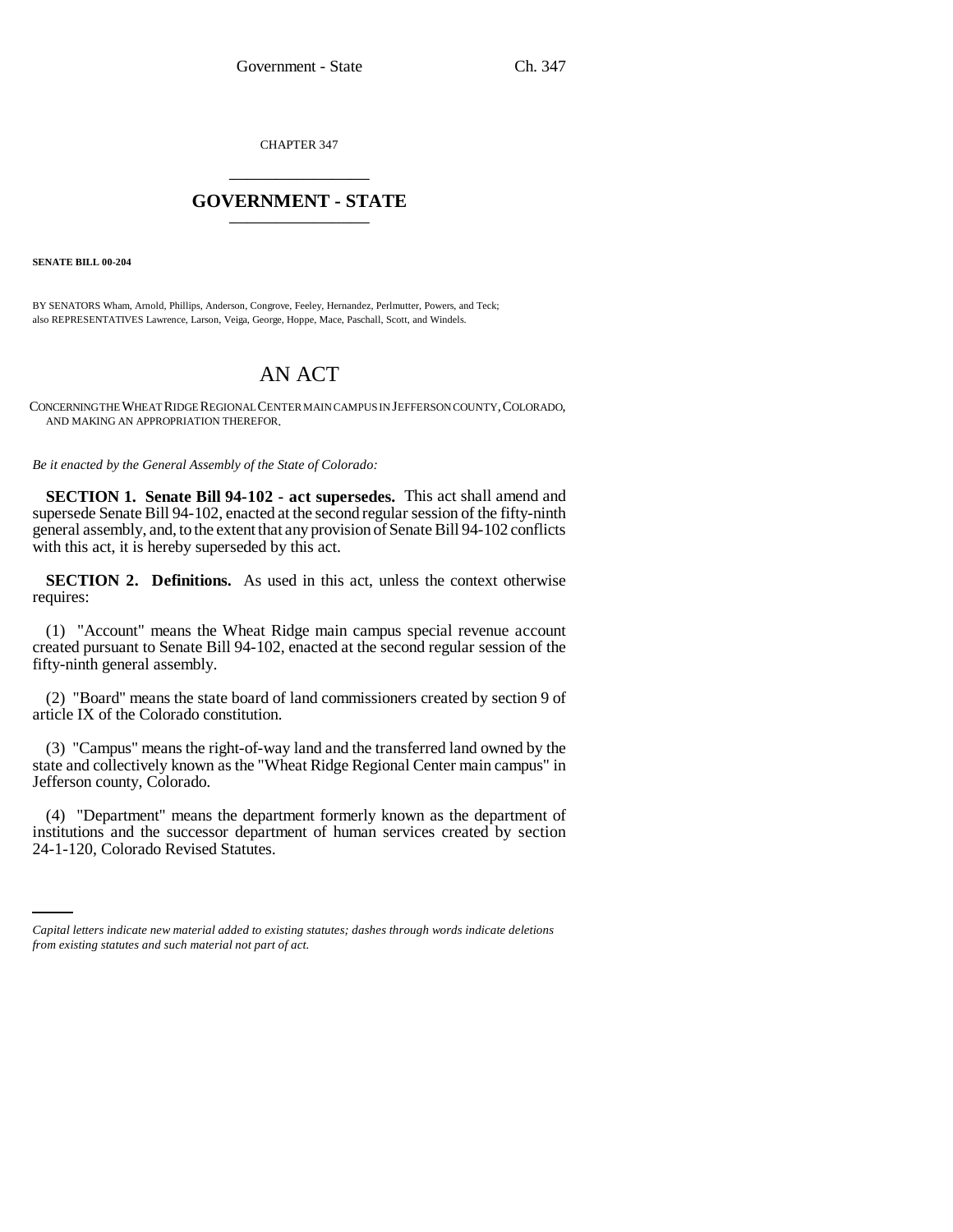CHAPTER 347 \_\_\_\_\_\_\_\_\_\_\_\_\_\_\_

# **GOVERNMENT - STATE** \_\_\_\_\_\_\_\_\_\_\_\_\_\_\_

**SENATE BILL 00-204** 

BY SENATORS Wham, Arnold, Phillips, Anderson, Congrove, Feeley, Hernandez, Perlmutter, Powers, and Teck; also REPRESENTATIVES Lawrence, Larson, Veiga, George, Hoppe, Mace, Paschall, Scott, and Windels.

# AN ACT

CONCERNING THE WHEAT RIDGE REGIONAL CENTER MAIN CAMPUS IN JEFFERSON COUNTY,COLORADO, AND MAKING AN APPROPRIATION THEREFOR.

*Be it enacted by the General Assembly of the State of Colorado:*

**SECTION 1. Senate Bill 94-102 - act supersedes.** This act shall amend and supersede Senate Bill 94-102, enacted at the second regular session of the fifty-ninth general assembly, and, to the extent that any provision of Senate Bill 94-102 conflicts with this act, it is hereby superseded by this act.

**SECTION 2. Definitions.** As used in this act, unless the context otherwise requires:

(1) "Account" means the Wheat Ridge main campus special revenue account created pursuant to Senate Bill 94-102, enacted at the second regular session of the fifty-ninth general assembly.

(2) "Board" means the state board of land commissioners created by section 9 of article IX of the Colorado constitution.

(3) "Campus" means the right-of-way land and the transferred land owned by the state and collectively known as the "Wheat Ridge Regional Center main campus" in Jefferson county, Colorado.

institutions and the successor department of human services created by section (4) "Department" means the department formerly known as the department of 24-1-120, Colorado Revised Statutes.

*Capital letters indicate new material added to existing statutes; dashes through words indicate deletions from existing statutes and such material not part of act.*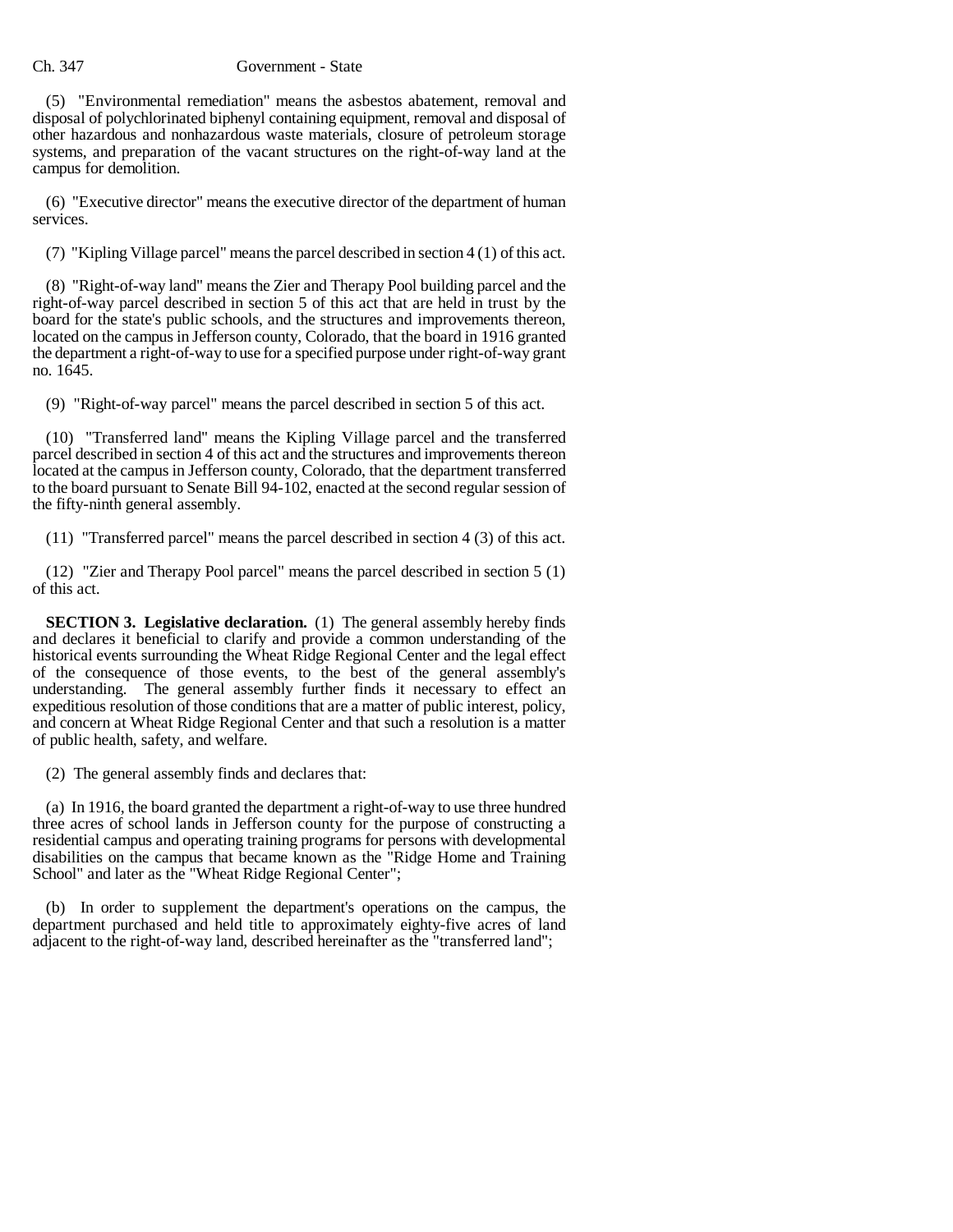#### Ch. 347 Government - State

(5) "Environmental remediation" means the asbestos abatement, removal and disposal of polychlorinated biphenyl containing equipment, removal and disposal of other hazardous and nonhazardous waste materials, closure of petroleum storage systems, and preparation of the vacant structures on the right-of-way land at the campus for demolition.

(6) "Executive director" means the executive director of the department of human services.

(7) "Kipling Village parcel" means the parcel described in section 4 (1) of this act.

(8) "Right-of-way land" means the Zier and Therapy Pool building parcel and the right-of-way parcel described in section 5 of this act that are held in trust by the board for the state's public schools, and the structures and improvements thereon, located on the campus in Jefferson county, Colorado, that the board in 1916 granted the department a right-of-way to use for a specified purpose under right-of-way grant no. 1645.

(9) "Right-of-way parcel" means the parcel described in section 5 of this act.

(10) "Transferred land" means the Kipling Village parcel and the transferred parcel described in section 4 of this act and the structures and improvements thereon located at the campus in Jefferson county, Colorado, that the department transferred to the board pursuant to Senate Bill 94-102, enacted at the second regular session of the fifty-ninth general assembly.

(11) "Transferred parcel" means the parcel described in section 4 (3) of this act.

(12) "Zier and Therapy Pool parcel" means the parcel described in section 5 (1) of this act.

**SECTION 3. Legislative declaration.** (1) The general assembly hereby finds and declares it beneficial to clarify and provide a common understanding of the historical events surrounding the Wheat Ridge Regional Center and the legal effect of the consequence of those events, to the best of the general assembly's understanding. The general assembly further finds it necessary to effect an expeditious resolution of those conditions that are a matter of public interest, policy, and concern at Wheat Ridge Regional Center and that such a resolution is a matter of public health, safety, and welfare.

(2) The general assembly finds and declares that:

(a) In 1916, the board granted the department a right-of-way to use three hundred three acres of school lands in Jefferson county for the purpose of constructing a residential campus and operating training programs for persons with developmental disabilities on the campus that became known as the "Ridge Home and Training School" and later as the "Wheat Ridge Regional Center";

(b) In order to supplement the department's operations on the campus, the department purchased and held title to approximately eighty-five acres of land adjacent to the right-of-way land, described hereinafter as the "transferred land";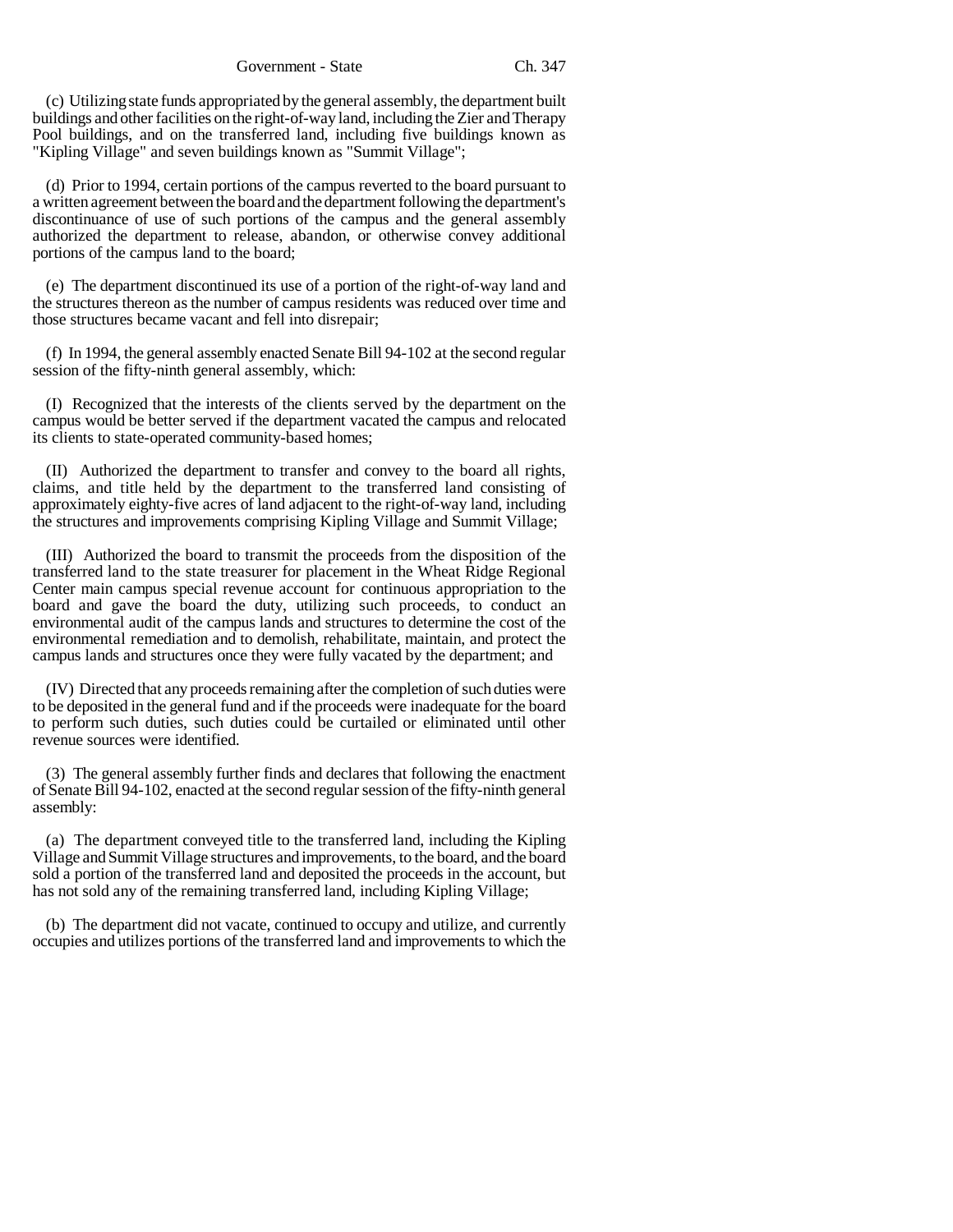(c) Utilizing state funds appropriated by the general assembly, the department built buildings and other facilities on the right-of-way land, including the Zier and Therapy Pool buildings, and on the transferred land, including five buildings known as "Kipling Village" and seven buildings known as "Summit Village";

(d) Prior to 1994, certain portions of the campus reverted to the board pursuant to a written agreement between the board and the department following the department's discontinuance of use of such portions of the campus and the general assembly authorized the department to release, abandon, or otherwise convey additional portions of the campus land to the board;

(e) The department discontinued its use of a portion of the right-of-way land and the structures thereon as the number of campus residents was reduced over time and those structures became vacant and fell into disrepair;

(f) In 1994, the general assembly enacted Senate Bill 94-102 at the second regular session of the fifty-ninth general assembly, which:

(I) Recognized that the interests of the clients served by the department on the campus would be better served if the department vacated the campus and relocated its clients to state-operated community-based homes;

(II) Authorized the department to transfer and convey to the board all rights, claims, and title held by the department to the transferred land consisting of approximately eighty-five acres of land adjacent to the right-of-way land, including the structures and improvements comprising Kipling Village and Summit Village;

(III) Authorized the board to transmit the proceeds from the disposition of the transferred land to the state treasurer for placement in the Wheat Ridge Regional Center main campus special revenue account for continuous appropriation to the board and gave the board the duty, utilizing such proceeds, to conduct an environmental audit of the campus lands and structures to determine the cost of the environmental remediation and to demolish, rehabilitate, maintain, and protect the campus lands and structures once they were fully vacated by the department; and

(IV) Directed that any proceeds remaining after the completion of such duties were to be deposited in the general fund and if the proceeds were inadequate for the board to perform such duties, such duties could be curtailed or eliminated until other revenue sources were identified.

(3) The general assembly further finds and declares that following the enactment of Senate Bill 94-102, enacted at the second regular session of the fifty-ninth general assembly:

(a) The department conveyed title to the transferred land, including the Kipling Village and Summit Village structures and improvements, to the board, and the board sold a portion of the transferred land and deposited the proceeds in the account, but has not sold any of the remaining transferred land, including Kipling Village;

(b) The department did not vacate, continued to occupy and utilize, and currently occupies and utilizes portions of the transferred land and improvements to which the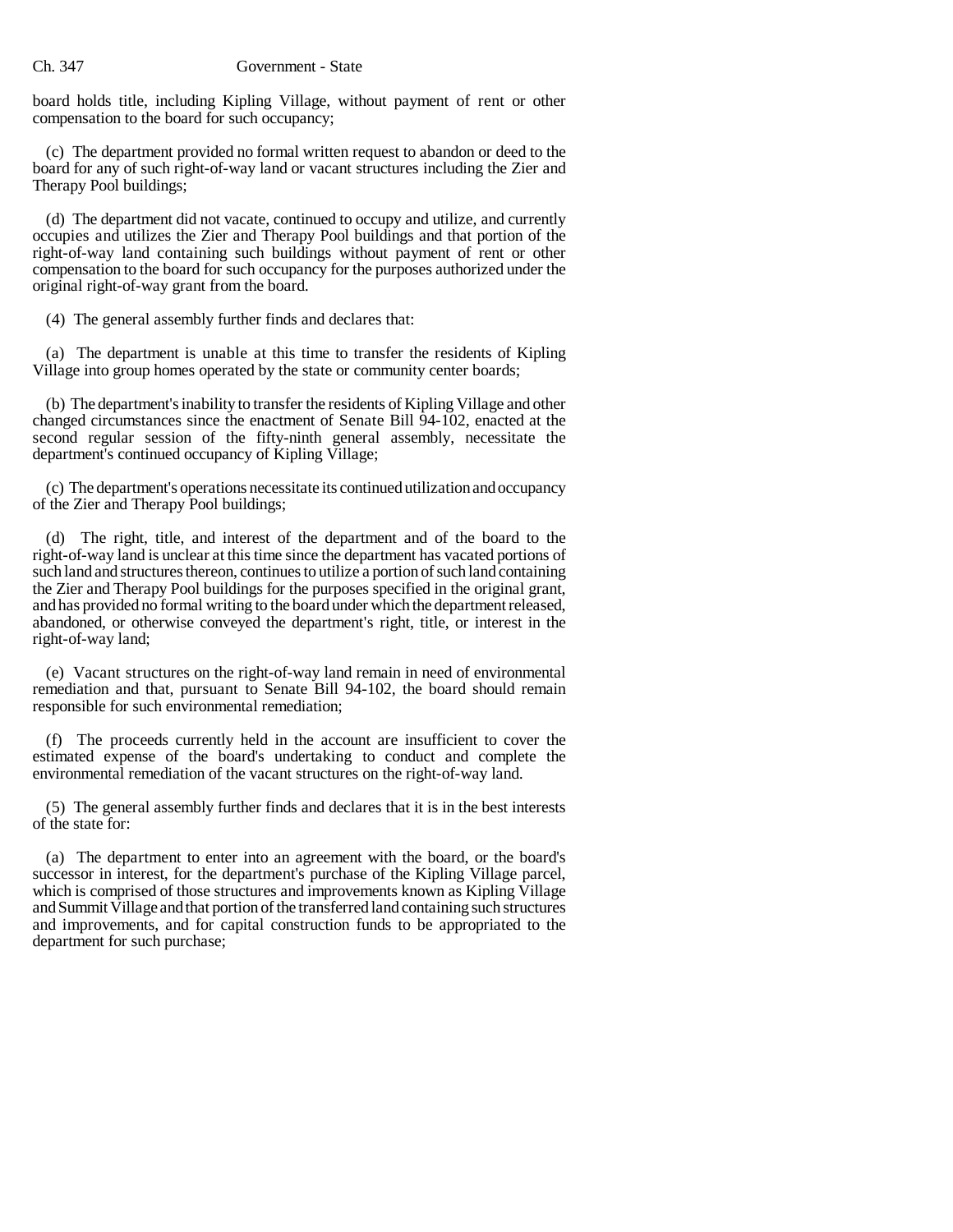board holds title, including Kipling Village, without payment of rent or other compensation to the board for such occupancy;

(c) The department provided no formal written request to abandon or deed to the board for any of such right-of-way land or vacant structures including the Zier and Therapy Pool buildings;

(d) The department did not vacate, continued to occupy and utilize, and currently occupies and utilizes the Zier and Therapy Pool buildings and that portion of the right-of-way land containing such buildings without payment of rent or other compensation to the board for such occupancy for the purposes authorized under the original right-of-way grant from the board.

(4) The general assembly further finds and declares that:

(a) The department is unable at this time to transfer the residents of Kipling Village into group homes operated by the state or community center boards;

(b) The department's inability to transfer the residents of Kipling Village and other changed circumstances since the enactment of Senate Bill 94-102, enacted at the second regular session of the fifty-ninth general assembly, necessitate the department's continued occupancy of Kipling Village;

(c) The department's operations necessitate its continued utilization and occupancy of the Zier and Therapy Pool buildings;

(d) The right, title, and interest of the department and of the board to the right-of-way land is unclear at this time since the department has vacated portions of such land and structures thereon, continues to utilize a portion of such land containing the Zier and Therapy Pool buildings for the purposes specified in the original grant, and has provided no formal writing to the board under which the department released, abandoned, or otherwise conveyed the department's right, title, or interest in the right-of-way land;

(e) Vacant structures on the right-of-way land remain in need of environmental remediation and that, pursuant to Senate Bill 94-102, the board should remain responsible for such environmental remediation;

(f) The proceeds currently held in the account are insufficient to cover the estimated expense of the board's undertaking to conduct and complete the environmental remediation of the vacant structures on the right-of-way land.

(5) The general assembly further finds and declares that it is in the best interests of the state for:

(a) The department to enter into an agreement with the board, or the board's successor in interest, for the department's purchase of the Kipling Village parcel, which is comprised of those structures and improvements known as Kipling Village and Summit Village and that portion of the transferred land containing such structures and improvements, and for capital construction funds to be appropriated to the department for such purchase;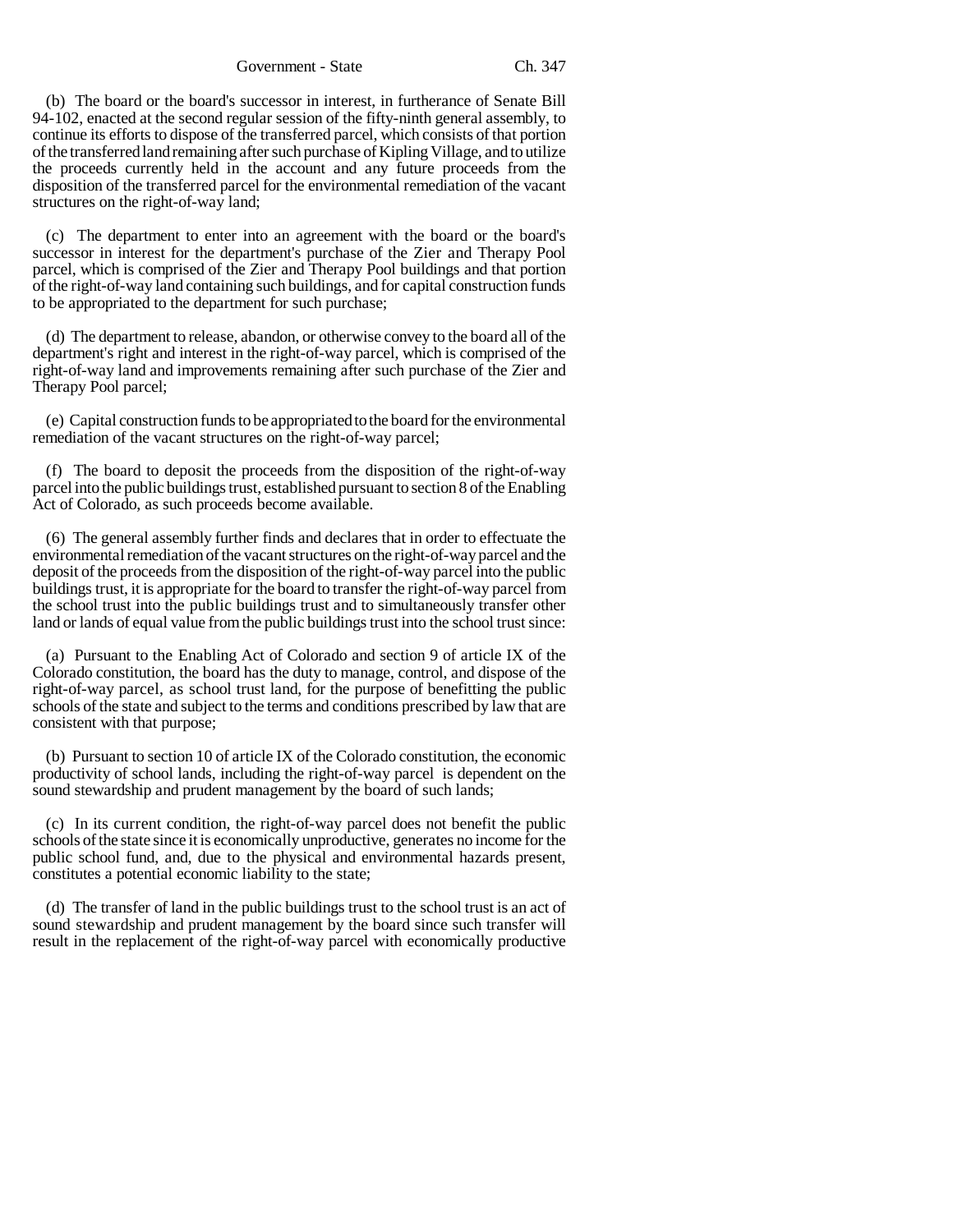(b) The board or the board's successor in interest, in furtherance of Senate Bill 94-102, enacted at the second regular session of the fifty-ninth general assembly, to continue its efforts to dispose of the transferred parcel, which consists of that portion of the transferred land remaining after such purchase of Kipling Village, and to utilize the proceeds currently held in the account and any future proceeds from the disposition of the transferred parcel for the environmental remediation of the vacant structures on the right-of-way land;

(c) The department to enter into an agreement with the board or the board's successor in interest for the department's purchase of the Zier and Therapy Pool parcel, which is comprised of the Zier and Therapy Pool buildings and that portion of the right-of-way land containing such buildings, and for capital construction funds to be appropriated to the department for such purchase;

(d) The department to release, abandon, or otherwise convey to the board all of the department's right and interest in the right-of-way parcel, which is comprised of the right-of-way land and improvements remaining after such purchase of the Zier and Therapy Pool parcel;

(e) Capital construction funds to be appropriated to the board for the environmental remediation of the vacant structures on the right-of-way parcel;

(f) The board to deposit the proceeds from the disposition of the right-of-way parcel into the public buildings trust, established pursuant to section 8 of the Enabling Act of Colorado, as such proceeds become available.

(6) The general assembly further finds and declares that in order to effectuate the environmental remediation of the vacant structures on the right-of-way parcel and the deposit of the proceeds from the disposition of the right-of-way parcel into the public buildings trust, it is appropriate for the board to transfer the right-of-way parcel from the school trust into the public buildings trust and to simultaneously transfer other land or lands of equal value from the public buildings trust into the school trust since:

(a) Pursuant to the Enabling Act of Colorado and section 9 of article IX of the Colorado constitution, the board has the duty to manage, control, and dispose of the right-of-way parcel, as school trust land, for the purpose of benefitting the public schools of the state and subject to the terms and conditions prescribed by law that are consistent with that purpose;

(b) Pursuant to section 10 of article IX of the Colorado constitution, the economic productivity of school lands, including the right-of-way parcel is dependent on the sound stewardship and prudent management by the board of such lands;

(c) In its current condition, the right-of-way parcel does not benefit the public schools of the state since it is economically unproductive, generates no income for the public school fund, and, due to the physical and environmental hazards present, constitutes a potential economic liability to the state;

(d) The transfer of land in the public buildings trust to the school trust is an act of sound stewardship and prudent management by the board since such transfer will result in the replacement of the right-of-way parcel with economically productive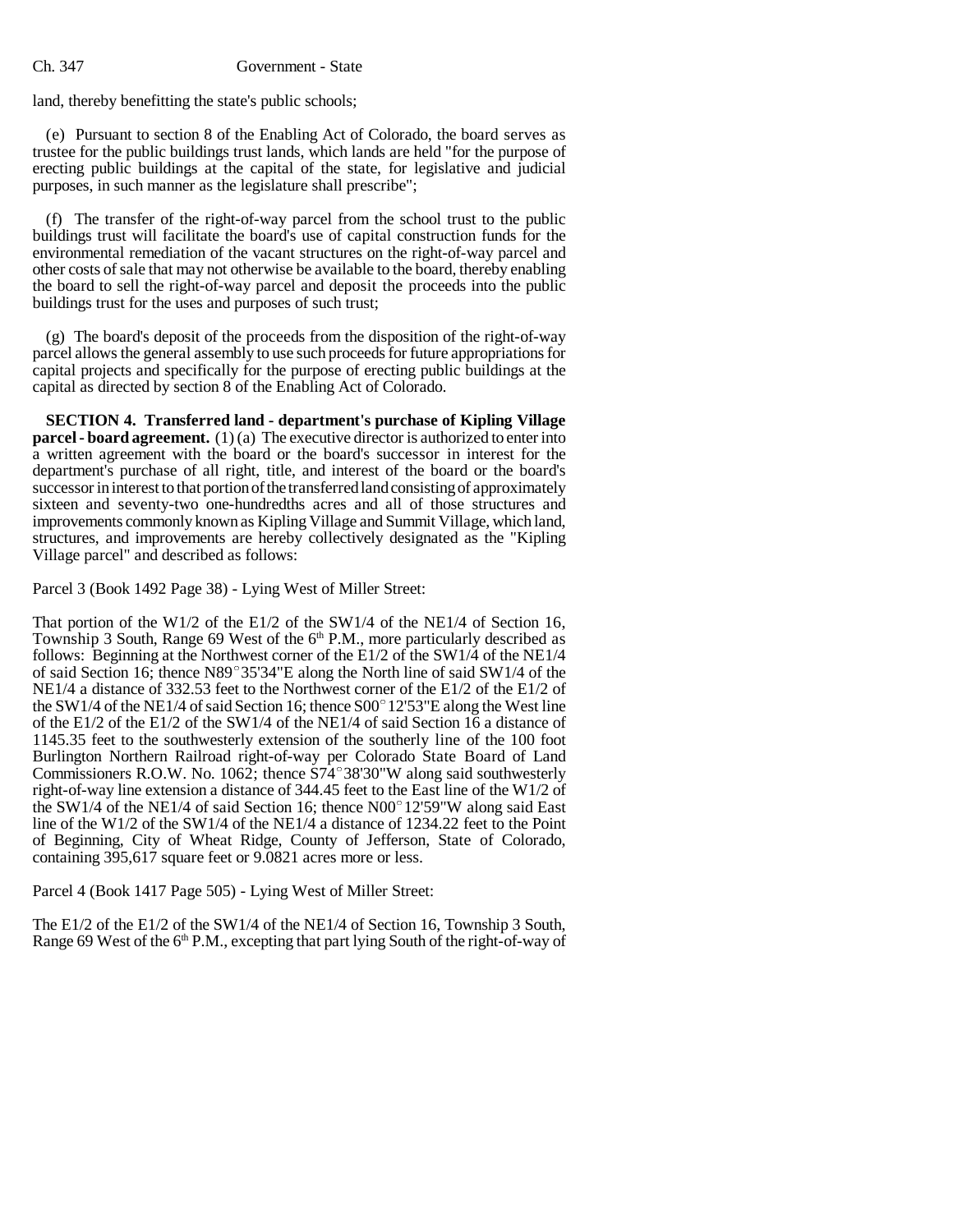### Ch. 347 Government - State

land, thereby benefitting the state's public schools;

(e) Pursuant to section 8 of the Enabling Act of Colorado, the board serves as trustee for the public buildings trust lands, which lands are held "for the purpose of erecting public buildings at the capital of the state, for legislative and judicial purposes, in such manner as the legislature shall prescribe";

(f) The transfer of the right-of-way parcel from the school trust to the public buildings trust will facilitate the board's use of capital construction funds for the environmental remediation of the vacant structures on the right-of-way parcel and other costs of sale that may not otherwise be available to the board, thereby enabling the board to sell the right-of-way parcel and deposit the proceeds into the public buildings trust for the uses and purposes of such trust;

(g) The board's deposit of the proceeds from the disposition of the right-of-way parcel allows the general assembly to use such proceeds for future appropriations for capital projects and specifically for the purpose of erecting public buildings at the capital as directed by section 8 of the Enabling Act of Colorado.

**SECTION 4. Transferred land - department's purchase of Kipling Village parcel - board agreement.** (1)(a) The executive director is authorized to enter into a written agreement with the board or the board's successor in interest for the department's purchase of all right, title, and interest of the board or the board's successor in interest to that portion of the transferred land consisting of approximately sixteen and seventy-two one-hundredths acres and all of those structures and improvements commonly known as Kipling Village and Summit Village, which land, structures, and improvements are hereby collectively designated as the "Kipling Village parcel" and described as follows:

Parcel 3 (Book 1492 Page 38) - Lying West of Miller Street:

That portion of the W1/2 of the E1/2 of the SW1/4 of the NE1/4 of Section 16, Township 3 South, Range 69 West of the  $6<sup>th</sup>$  P.M., more particularly described as follows: Beginning at the Northwest corner of the E1/2 of the SW1/4 of the NE1/4 of said Section 16; thence  $N89^{\circ}35'34''E$  along the North line of said SW1/4 of the NE1/4 a distance of 332.53 feet to the Northwest corner of the E1/2 of the E1/2 of the SW1/4 of the NE1/4 of said Section 16; thence  $S00^{\circ}$  12'53"E along the West line of the E1/2 of the E1/2 of the SW1/4 of the NE1/4 of said Section 16 a distance of 1145.35 feet to the southwesterly extension of the southerly line of the 100 foot Burlington Northern Railroad right-of-way per Colorado State Board of Land 1145.35 feet to the southwesterly extension of the southerly line of the 100 foot<br>Burlington Northern Railroad right-of-way per Colorado State Board of Land<br>Commissioners R.O.W. No. 1062; thence S74°38'30"W along said sout right-of-way line extension a distance of 344.45 feet to the East line of the W1/2 of Commissioners R.O.W. No. 1062; thence S74°38'30"W along said southwesterly right-of-way line extension a distance of 344.45 feet to the East line of the W1/2 of the SW1/4 of the NE1/4 of said Section 16; thence N00°12'59"W line of the W1/2 of the SW1/4 of the NE1/4 a distance of 1234.22 feet to the Point of Beginning, City of Wheat Ridge, County of Jefferson, State of Colorado, containing 395,617 square feet or 9.0821 acres more or less.

Parcel 4 (Book 1417 Page 505) - Lying West of Miller Street:

The E1/2 of the E1/2 of the SW1/4 of the NE1/4 of Section 16, Township 3 South, Range 69 West of the 6<sup>th</sup> P.M., excepting that part lying South of the right-of-way of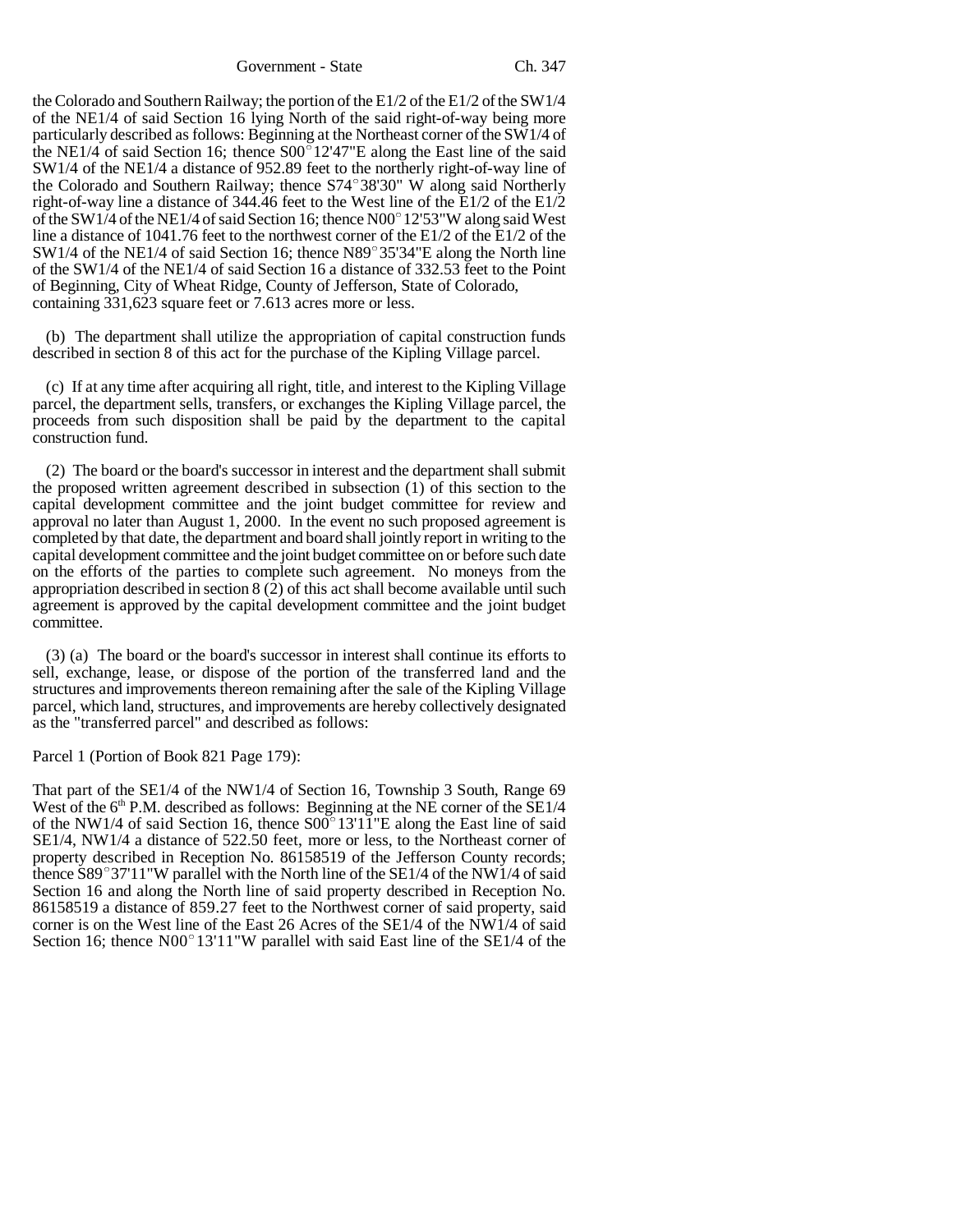the Colorado and Southern Railway; the portion of the E1/2 of the E1/2 of the SW1/4 of the NE1/4 of said Section 16 lying North of the said right-of-way being more particularly described as follows: Beginning at the Northeast corner of the SW1/4 of of the NE1/4 of said Section 16 lying North of the said right-of-way being more<br>particularly described as follows: Beginning at the Northeast corner of the SW1/4 of<br>the NE1/4 of said Section 16; thence S00°12'47"E along th SW1/4 of the NE1/4 a distance of 952.89 feet to the northerly right-of-way line of the NE1/4 of said Section 16; thence  $SO_0^512'47''E$  along the East line of the said SW1/4 of the NE1/4 a distance of 952.89 feet to the northerly right-of-way line of the Colorado and Southern Railway; thence  $S74^{\circ}38'3$ right-of-way line a distance of 344.46 feet to the West line of the E1/2 of the E1/2 the Colorado and Southern Railway; thence S74°38'30" W along said Northerly<br>right-of-way line a distance of 344.46 feet to the West line of the E1/2 of the E1/2<br>of the SW1/4 of the NE1/4 of said Section 16; thence N00°12'5 line a distance of 1041.76 feet to the northwest corner of the E1/2 of the E1/2 of the of the SW1/4 of the NE1/4 of said Section 16; thence N00°12'53"W along said West<br>line a distance of 1041.76 feet to the northwest corner of the E1/2 of the E1/2 of the<br>SW1/4 of the NE1/4 of said Section 16; thence N89°35'3 of the SW1/4 of the NE1/4 of said Section 16 a distance of 332.53 feet to the Point of Beginning, City of Wheat Ridge, County of Jefferson, State of Colorado, containing 331,623 square feet or 7.613 acres more or less.

(b) The department shall utilize the appropriation of capital construction funds described in section 8 of this act for the purchase of the Kipling Village parcel.

(c) If at any time after acquiring all right, title, and interest to the Kipling Village parcel, the department sells, transfers, or exchanges the Kipling Village parcel, the proceeds from such disposition shall be paid by the department to the capital construction fund.

(2) The board or the board's successor in interest and the department shall submit the proposed written agreement described in subsection (1) of this section to the capital development committee and the joint budget committee for review and approval no later than August 1, 2000. In the event no such proposed agreement is completed by that date, the department and board shall jointly report in writing to the capital development committee and the joint budget committee on or before such date on the efforts of the parties to complete such agreement. No moneys from the appropriation described in section  $8(2)$  of this act shall become available until such agreement is approved by the capital development committee and the joint budget committee.

(3) (a) The board or the board's successor in interest shall continue its efforts to sell, exchange, lease, or dispose of the portion of the transferred land and the structures and improvements thereon remaining after the sale of the Kipling Village parcel, which land, structures, and improvements are hereby collectively designated as the "transferred parcel" and described as follows:

Parcel 1 (Portion of Book 821 Page 179):

That part of the SE1/4 of the NW1/4 of Section 16, Township 3 South, Range 69 West of the  $6<sup>th</sup>$  P.M. described as follows: Beginning at the NE corner of the SE1/4 That part of the SE1/4 of the NW1/4 of Section 16, Township 3 South, Range 69 West of the  $6<sup>th</sup>$  P.M. described as follows: Beginning at the NE corner of the SE1/4 of the NW1/4 of said Section 16, thence S00 $^{\circ}$ 13'1 SE1/4, NW1/4 a distance of 522.50 feet, more or less, to the Northeast corner of property described in Reception No. 86158519 of the Jefferson County records; thence  $S89^{\circ}37'11''W$  parallel with the North line of the SE1/4 of the NW1/4 of said Section 16 and along the North line of said property described in Reception No. 86158519 a distance of 859.27 feet to the Northwest corner of said property, said corner is on the West line of the East 26 Acres of the SE1/4 of the NW1/4 of said 86158519 a distance of 859.27 feet to the Northwest corner of said property, said corner is on the West line of the East 26 Acres of the SE1/4 of the NW1/4 of said Section 16; thence N00°13'11"W parallel with said East lin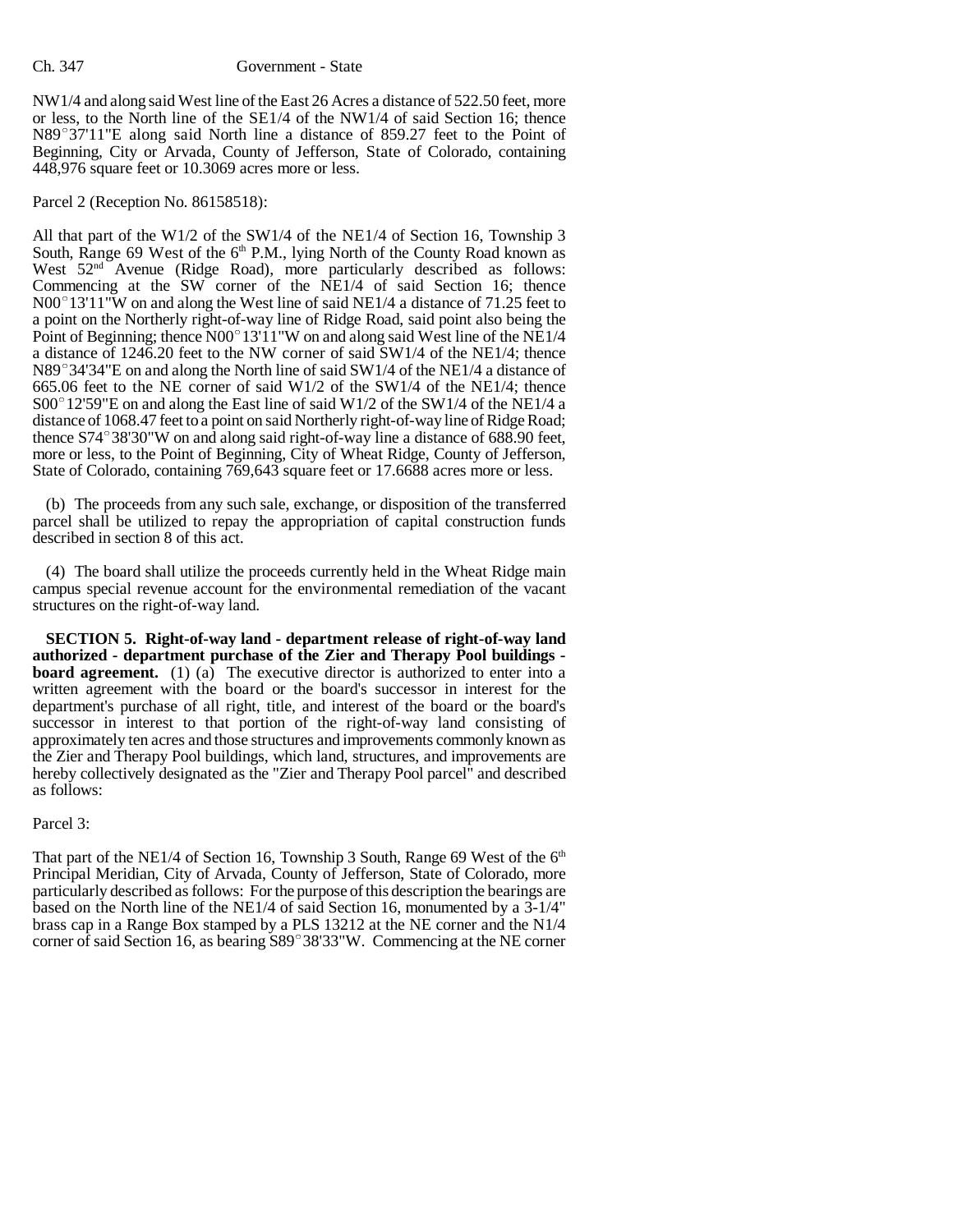NW1/4 and along said West line of the East 26 Acres a distance of 522.50 feet, more or less, to the North line of the SE1/4 of the NW1/4 of said Section 16; thence NW1/4 and along said West line of the East 26 Acres a distance of 522.50 feet, more<br>or less, to the North line of the SE1/4 of the NW1/4 of said Section 16; thence<br>N89°37'11"E along said North line a distance of 859.27 fee Beginning, City or Arvada, County of Jefferson, State of Colorado, containing 448,976 square feet or 10.3069 acres more or less.

Parcel 2 (Reception No. 86158518):

All that part of the W1/2 of the SW1/4 of the NE1/4 of Section 16, Township 3 South, Range 69 West of the  $6<sup>th</sup>$  P.M., lying North of the County Road known as West 52<sup>nd</sup> Avenue (Ridge Road), more particularly described as follows: Commencing at the SW corner of the NE1/4 of said Section 16; thence West  $52^{\text{nd}}$  Avenue (Ridge Road), more particularly described as follows:<br>Commencing at the SW corner of the NE1/4 of said Section 16; thence<br>N00°13'11"W on and along the West line of said NE1/4 a distance of 71.25 fee a point on the Northerly right-of-way line of Ridge Road, said point also being the N00° 13'11"W on and along the West line of said NE1/4 a distance of 71.25 feet to a point on the Northerly right-of-way line of Ridge Road, said point also being the Point of Beginning; thence N00° 13'11"W on and along sa a distance of 1246.20 feet to the NW corner of said SW1/4 of the NE1/4; thence Point of Beginning; thence N00°13'11"W on and along said West line of the NE1/4<br>a distance of 1246.20 feet to the NW corner of said SW1/4 of the NE1/4; thence<br>N89°34'34"E on and along the North line of said SW1/4 of the NE 665.06 feet to the NE corner of said W1/2 of the SW1/4 of the NE1/4; thence N89°34'34"E on and along the North line of said SW1/4 of the NE1/4 a distance of 665.06 feet to the NE corner of said W1/2 of the SW1/4 of the NE1/4; thence S00°12'59"E on and along the East line of said W1/2 of the SW1/4 distance of 1068.47 feet to a point on said Northerly right-of-way line of Ridge Road; S00° 12'59"E on and along the East line of said W1/2 of the SW1/4 of the NE1/4 a<br>distance of 1068.47 feet to a point on said Northerly right-of-way line of Ridge Road;<br>thence S74°38'30"W on and along said right-of-way line more or less, to the Point of Beginning, City of Wheat Ridge, County of Jefferson, State of Colorado, containing 769,643 square feet or 17.6688 acres more or less.

(b) The proceeds from any such sale, exchange, or disposition of the transferred parcel shall be utilized to repay the appropriation of capital construction funds described in section 8 of this act.

(4) The board shall utilize the proceeds currently held in the Wheat Ridge main campus special revenue account for the environmental remediation of the vacant structures on the right-of-way land.

**SECTION 5. Right-of-way land - department release of right-of-way land authorized - department purchase of the Zier and Therapy Pool buildings board agreement.** (1) (a) The executive director is authorized to enter into a written agreement with the board or the board's successor in interest for the department's purchase of all right, title, and interest of the board or the board's successor in interest to that portion of the right-of-way land consisting of approximately ten acres and those structures and improvements commonly known as the Zier and Therapy Pool buildings, which land, structures, and improvements are hereby collectively designated as the "Zier and Therapy Pool parcel" and described as follows:

# Parcel 3:

That part of the NE1/4 of Section 16, Township 3 South, Range 69 West of the  $6<sup>th</sup>$ Principal Meridian, City of Arvada, County of Jefferson, State of Colorado, more particularly described as follows: For the purpose of this description the bearings are based on the North line of the NE1/4 of said Section 16, monumented by a 3-1/4" brass cap in a Range Box stamped by a PLS 13212 at the NE corner and the N1/4 corner of said Section 16, as bearing S89°38'33"W. Commencing at the NE corner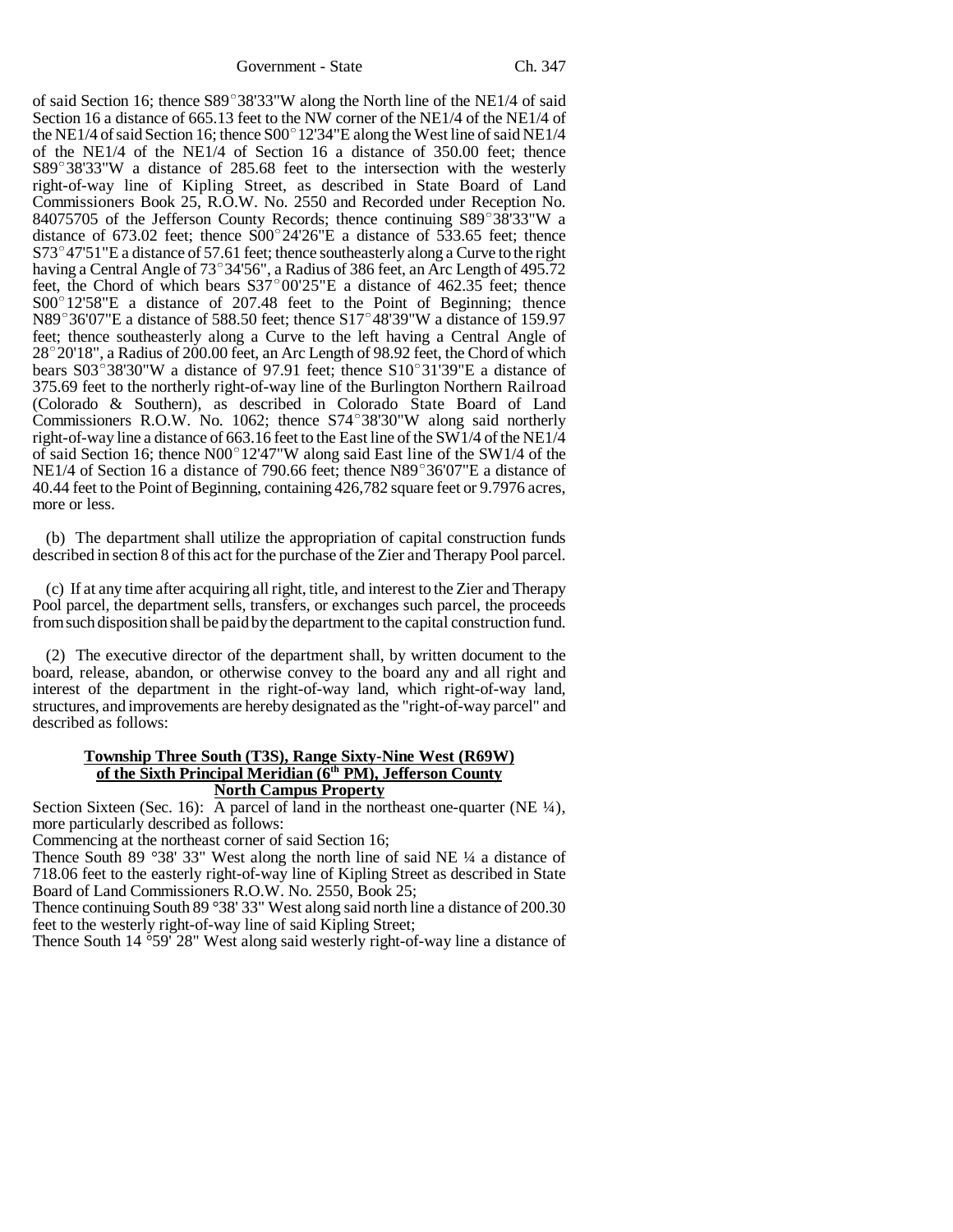of said Section 16; thence  $S89^{\circ}38'33''W$  along the North line of the NE1/4 of said Section 16 a distance of 665.13 feet to the NW corner of the NE1/4 of the NE1/4 of of said Section 16; thence S89°38'33"W along the North line of the NE1/4 of said<br>Section 16 a distance of 665.13 feet to the NW corner of the NE1/4 of the NE1/4 of<br>the NE1/4 of said Section 16; thence S00°12'34"E along the of the NE1/4 of the NE1/4 of Section 16 a distance of 350.00 feet; thence the NE1/4 of said Section 16; thence S00°12'34"E along the West line of said NE1/4 of the NE1/4 of Section 16 a distance of 350.00 feet; thence S89°38'33"W a distance of 285.68 feet to the intersection with the westerly right-of-way line of Kipling Street, as described in State Board of Land Commissioners Book 25, R.O.W. No. 2550 and Recorded under Reception No. right-of-way line of Kipling Street, as described in State Board of Land<br>Commissioners Book 25, R.O.W. No. 2550 and Recorded under Reception No.<br>84075705 of the Jefferson County Records; thence continuing S89°38'33"W a 84075705 of the Jefferson County Records; thence continuing  $S89^{\circ}38'33''W$  a distance of 673.02 feet; thence  $S00^{\circ}24'26''E$  a distance of 533.65 feet; thence  $S73^{\circ}47'51''E$  a distance of 57.61 feet; thence southeasterly along a Curve to the right distance of 673.02 feet; thence S00°24'26"E a distance of 533.65 feet; thence<br>S73°47'51"E a distance of 57.61 feet; thence southeasterly along a Curve to the right<br>having a Central Angle of 73°34'56", a Radius of 386 feet,  $573^{\circ}47'51''E$  a distance of 57.61 feet; thence southeasterly along a Curve to the right having a Central Angle of 73°34'56", a Radius of 386 feet, an Arc Length of 495.72 feet; the Chord of which bears  $537^{\circ}00'25''E$ having a Central Angle of 73°34'56", a Radius of 386 feet, an Arc Length of 495.72 feet, the Chord of which bears  $S37^{\circ}00'25''E$  a distance of 462.35 feet; thence  $S00^{\circ}12'58''E$  a distance of 207.48 feet to the Point  $S00^{\circ}12'58''E$  a distance of 207.48 feet to the Point of Beginning; thence N89°36'07"E a distance of 588.50 feet; thence S17°48'39"W a distance of 159.97 feet; thence southeasterly along a Curve to the left having a Central Angle of N89°36'07"E a distance of 588.50 feet; thence S17°48'39"W a distance of 159.97<br>feet; thence southeasterly along a Curve to the left having a Central Angle of<br>28°20'18", a Radius of 200.00 feet, an Arc Length of 98.92 feet, feet; thence southeasterly along a Curve to the left having a Central Angle of 28°20'18", a Radius of 200.00 feet, an Arc Length of 98.92 feet, the Chord of which bears S03°38'30"W a distance of 97.91 feet; thence S10°31'3 375.69 feet to the northerly right-of-way line of the Burlington Northern Railroad (Colorado & Southern), as described in Colorado State Board of Land 375.69 feet to the northerly right-of-way line of the Burlington Northern Railroad (Colorado & Southern), as described in Colorado State Board of Land Commissioners R.O.W. No. 1062; thence S74°38'30"W along said northerly right-of-way line a distance of 663.16 feet to the East line of the SW1/4 of the NE1/4 Commissioners R.O.W. No. 1062; thence S74°38'30"W along said northerly right-of-way line a distance of 663.16 feet to the East line of the SW1/4 of the NE1/4 of said Section 16; thence N00°12'47"W along said East line of t right-of-way line a distance of 663.16 feet to the East line of the SW1/4 of the NE1/4<br>of said Section 16; thence N00°12'47"W along said East line of the SW1/4 of the<br>NE1/4 of Section 16 a distance of 790.66 feet; thence N 40.44 feet to the Point of Beginning, containing 426,782 square feet or 9.7976 acres, more or less.

(b) The department shall utilize the appropriation of capital construction funds described in section 8 of this act for the purchase of the Zier and Therapy Pool parcel.

(c) If at any time after acquiring all right, title, and interest to the Zier and Therapy Pool parcel, the department sells, transfers, or exchanges such parcel, the proceeds from such disposition shall be paid by the department to the capital construction fund.

(2) The executive director of the department shall, by written document to the board, release, abandon, or otherwise convey to the board any and all right and interest of the department in the right-of-way land, which right-of-way land, structures, and improvements are hereby designated as the "right-of-way parcel" and described as follows:

## **Township Three South (T3S), Range Sixty-Nine West (R69W) of the Sixth Principal Meridian (6th PM), Jefferson County North Campus Property**

Section Sixteen (Sec. 16): A parcel of land in the northeast one-quarter (NE  $\frac{1}{4}$ ), more particularly described as follows:

Commencing at the northeast corner of said Section 16;

Thence South 89 °38' 33" West along the north line of said NE  $\frac{1}{4}$  a distance of 718.06 feet to the easterly right-of-way line of Kipling Street as described in State Board of Land Commissioners R.O.W. No. 2550, Book 25;

Thence continuing South 89 °38' 33" West along said north line a distance of 200.30 feet to the westerly right-of-way line of said Kipling Street;

Thence South 14 °59' 28" West along said westerly right-of-way line a distance of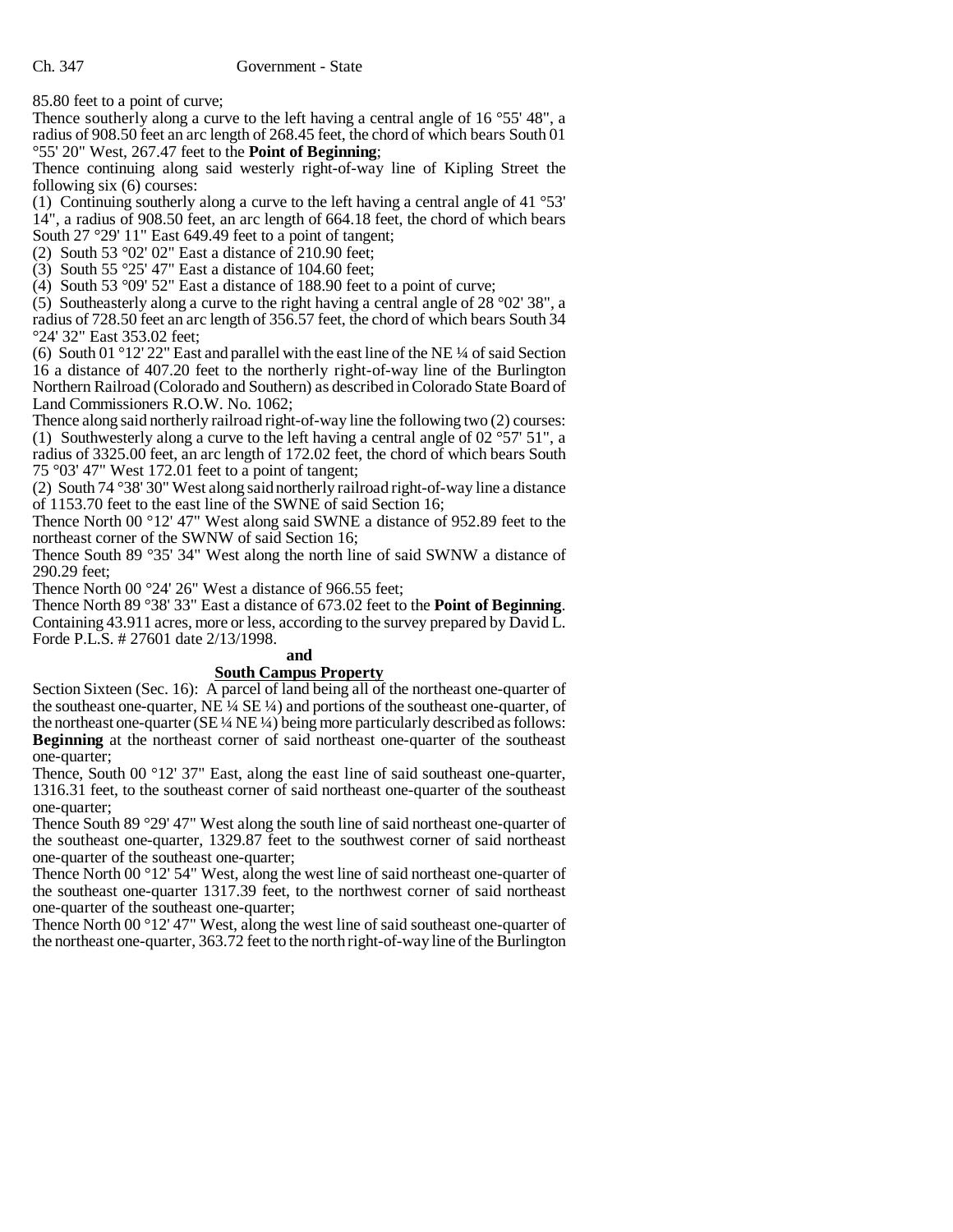85.80 feet to a point of curve;

Thence southerly along a curve to the left having a central angle of 16 °55' 48", a radius of 908.50 feet an arc length of 268.45 feet, the chord of which bears South 01 °55' 20" West, 267.47 feet to the **Point of Beginning**;

Thence continuing along said westerly right-of-way line of Kipling Street the following six (6) courses:

(1) Continuing southerly along a curve to the left having a central angle of 41 °53' 14", a radius of 908.50 feet, an arc length of 664.18 feet, the chord of which bears South 27 °29' 11" East 649.49 feet to a point of tangent;

(2) South 53 °02' 02" East a distance of 210.90 feet;

(3) South 55 °25' 47" East a distance of 104.60 feet;

(4) South 53 °09' 52" East a distance of 188.90 feet to a point of curve;

(5) Southeasterly along a curve to the right having a central angle of 28 °02' 38", a radius of 728.50 feet an arc length of 356.57 feet, the chord of which bears South 34 °24' 32" East 353.02 feet;

(6) South 01 °12' 22" East and parallel with the east line of the NE  $\frac{1}{4}$  of said Section 16 a distance of 407.20 feet to the northerly right-of-way line of the Burlington Northern Railroad (Colorado and Southern) as described in Colorado State Board of Land Commissioners R.O.W. No. 1062;

Thence along said northerly railroad right-of-way line the following two (2) courses: (1) Southwesterly along a curve to the left having a central angle of 02 °57' 51", a radius of 3325.00 feet, an arc length of 172.02 feet, the chord of which bears South 75 °03' 47" West 172.01 feet to a point of tangent;

(2) South 74 °38' 30" West along said northerly railroad right-of-way line a distance of 1153.70 feet to the east line of the SWNE of said Section 16;

Thence North 00 °12' 47" West along said SWNE a distance of 952.89 feet to the northeast corner of the SWNW of said Section 16;

Thence South 89 °35' 34" West along the north line of said SWNW a distance of 290.29 feet;

Thence North 00 °24' 26" West a distance of 966.55 feet;

Thence North 89 °38' 33" East a distance of 673.02 feet to the **Point of Beginning**. Containing 43.911 acres, more or less, according to the survey prepared by David L. Forde P.L.S. # 27601 date 2/13/1998.

# **and**

# **South Campus Property**

Section Sixteen (Sec. 16): A parcel of land being all of the northeast one-quarter of the southeast one-quarter, NE  $\frac{1}{4}$  SE  $\frac{1}{4}$ ) and portions of the southeast one-quarter, of the northeast one-quarter (SE ¼ NE ¼) being more particularly described as follows: **Beginning** at the northeast corner of said northeast one-quarter of the southeast one-quarter;

Thence, South 00 °12' 37" East, along the east line of said southeast one-quarter, 1316.31 feet, to the southeast corner of said northeast one-quarter of the southeast one-quarter;

Thence South 89 °29' 47" West along the south line of said northeast one-quarter of the southeast one-quarter, 1329.87 feet to the southwest corner of said northeast one-quarter of the southeast one-quarter;

Thence North 00 °12' 54" West, along the west line of said northeast one-quarter of the southeast one-quarter 1317.39 feet, to the northwest corner of said northeast one-quarter of the southeast one-quarter;

Thence North 00 °12' 47" West, along the west line of said southeast one-quarter of the northeast one-quarter, 363.72 feet to the north right-of-way line of the Burlington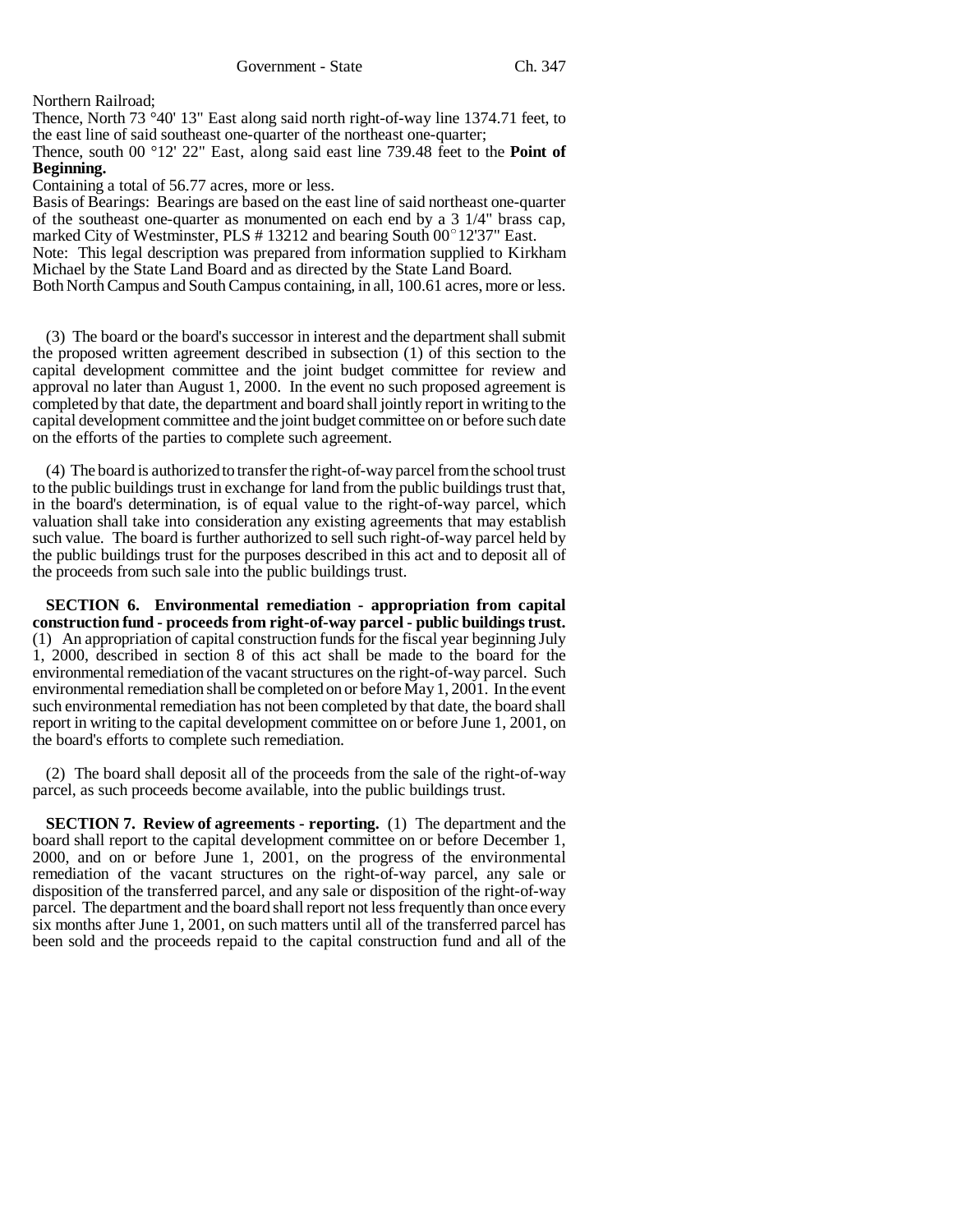Northern Railroad;

Thence, North 73 °40' 13" East along said north right-of-way line 1374.71 feet, to the east line of said southeast one-quarter of the northeast one-quarter;

Thence, south 00 °12' 22" East, along said east line 739.48 feet to the **Point of Beginning.**

Containing a total of 56.77 acres, more or less.

Basis of Bearings: Bearings are based on the east line of said northeast one-quarter of the southeast one-quarter as monumented on each end by a 3 1/4" brass cap, marked City of Westminster, PLS # 13212 and bearing South  $00^{\circ}$  12'37" East. Note: This legal description was prepared from information supplied to Kirkham Michael by the State Land Board and as directed by the State Land Board.

Both North Campus and South Campus containing, in all, 100.61 acres, more or less.

(3) The board or the board's successor in interest and the department shall submit the proposed written agreement described in subsection (1) of this section to the capital development committee and the joint budget committee for review and approval no later than August 1, 2000. In the event no such proposed agreement is completed by that date, the department and board shall jointly report in writing to the capital development committee and the joint budget committee on or before such date on the efforts of the parties to complete such agreement.

(4) The board is authorized to transfer the right-of-way parcel from the school trust to the public buildings trust in exchange for land from the public buildings trust that, in the board's determination, is of equal value to the right-of-way parcel, which valuation shall take into consideration any existing agreements that may establish such value. The board is further authorized to sell such right-of-way parcel held by the public buildings trust for the purposes described in this act and to deposit all of the proceeds from such sale into the public buildings trust.

**SECTION 6. Environmental remediation - appropriation from capital construction fund - proceeds from right-of-way parcel - public buildings trust.** (1) An appropriation of capital construction funds for the fiscal year beginning July 1, 2000, described in section 8 of this act shall be made to the board for the environmental remediation of the vacant structures on the right-of-way parcel. Such environmental remediation shall be completed on or before May 1, 2001. In the event such environmental remediation has not been completed by that date, the board shall report in writing to the capital development committee on or before June 1, 2001, on the board's efforts to complete such remediation.

(2) The board shall deposit all of the proceeds from the sale of the right-of-way parcel, as such proceeds become available, into the public buildings trust.

**SECTION 7. Review of agreements - reporting.** (1) The department and the board shall report to the capital development committee on or before December 1, 2000, and on or before June 1, 2001, on the progress of the environmental remediation of the vacant structures on the right-of-way parcel, any sale or disposition of the transferred parcel, and any sale or disposition of the right-of-way parcel. The department and the board shall report not less frequently than once every six months after June 1, 2001, on such matters until all of the transferred parcel has been sold and the proceeds repaid to the capital construction fund and all of the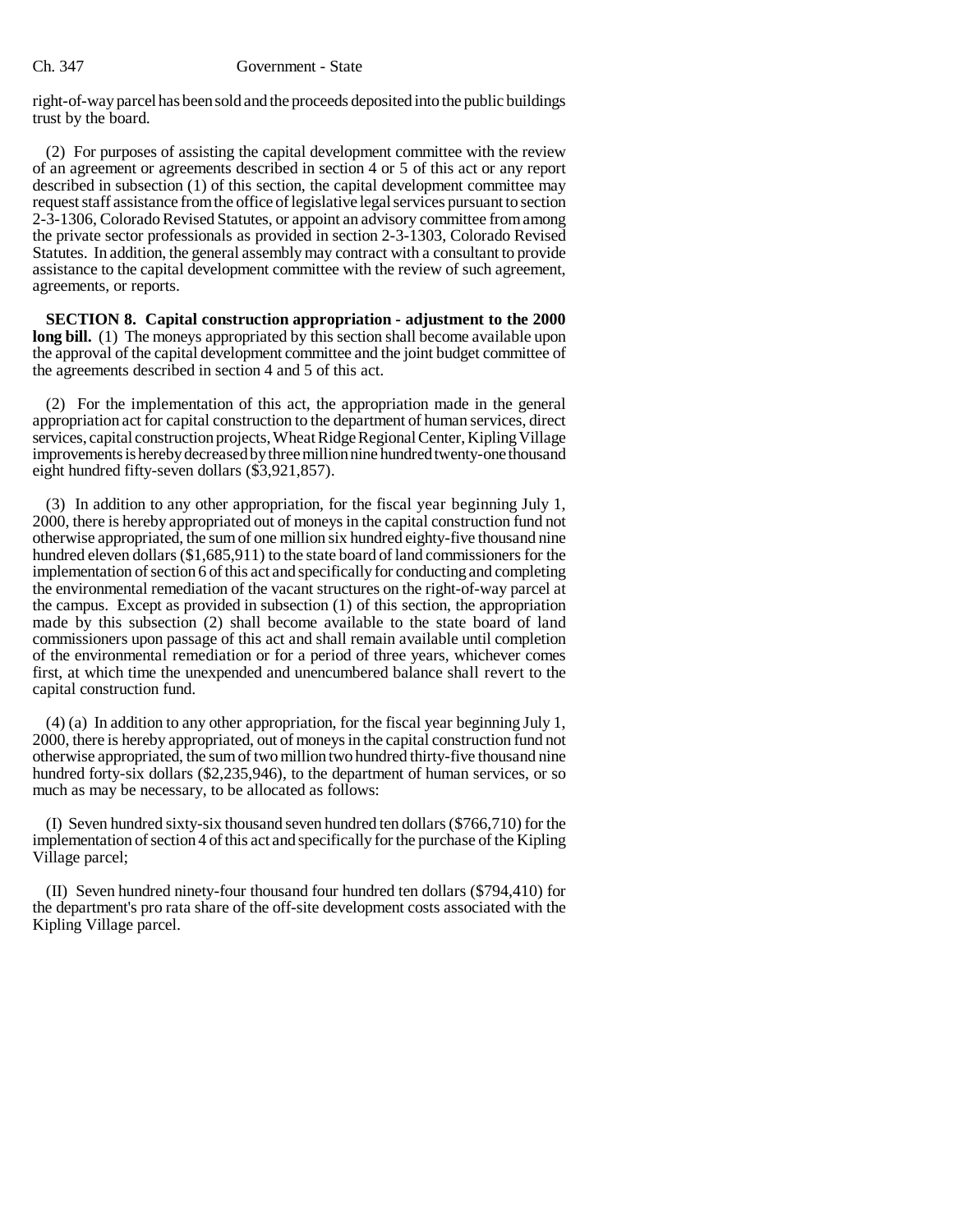### Ch. 347 Government - State

right-of-way parcel has been sold and the proceeds deposited into the public buildings trust by the board.

(2) For purposes of assisting the capital development committee with the review of an agreement or agreements described in section 4 or 5 of this act or any report described in subsection (1) of this section, the capital development committee may request staff assistance from the office of legislative legal services pursuant to section 2-3-1306, Colorado Revised Statutes, or appoint an advisory committee from among the private sector professionals as provided in section 2-3-1303, Colorado Revised Statutes. In addition, the general assembly may contract with a consultant to provide assistance to the capital development committee with the review of such agreement, agreements, or reports.

**SECTION 8. Capital construction appropriation - adjustment to the 2000 long bill.** (1) The moneys appropriated by this section shall become available upon the approval of the capital development committee and the joint budget committee of the agreements described in section 4 and 5 of this act.

(2) For the implementation of this act, the appropriation made in the general appropriation act for capital construction to the department of human services, direct services, capital construction projects, Wheat Ridge Regional Center, Kipling Village improvements is hereby decreased by three million nine hundred twenty-one thousand eight hundred fifty-seven dollars (\$3,921,857).

(3) In addition to any other appropriation, for the fiscal year beginning July 1, 2000, there is hereby appropriated out of moneys in the capital construction fund not otherwise appropriated, the sum of one million six hundred eighty-five thousand nine hundred eleven dollars (\$1,685,911) to the state board of land commissioners for the implementation of section 6 of this act and specifically for conducting and completing the environmental remediation of the vacant structures on the right-of-way parcel at the campus. Except as provided in subsection (1) of this section, the appropriation made by this subsection (2) shall become available to the state board of land commissioners upon passage of this act and shall remain available until completion of the environmental remediation or for a period of three years, whichever comes first, at which time the unexpended and unencumbered balance shall revert to the capital construction fund.

(4) (a) In addition to any other appropriation, for the fiscal year beginning July 1, 2000, there is hereby appropriated, out of moneys in the capital construction fund not otherwise appropriated, the sum of two million two hundred thirty-five thousand nine hundred forty-six dollars (\$2,235,946), to the department of human services, or so much as may be necessary, to be allocated as follows:

(I) Seven hundred sixty-six thousand seven hundred ten dollars (\$766,710) for the implementation of section 4 of this act and specifically for the purchase of the Kipling Village parcel;

(II) Seven hundred ninety-four thousand four hundred ten dollars (\$794,410) for the department's pro rata share of the off-site development costs associated with the Kipling Village parcel.